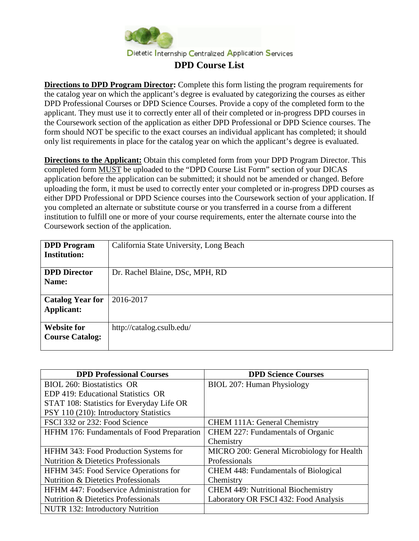

**Directions to DPD Program Director:** Complete this form listing the program requirements for the catalog year on which the applicant's degree is evaluated by categorizing the courses as either DPD Professional Courses or DPD Science Courses. Provide a copy of the completed form to the applicant. They must use it to correctly enter all of their completed or in-progress DPD courses in the Coursework section of the application as either DPD Professional or DPD Science courses. The form should NOT be specific to the exact courses an individual applicant has completed; it should only list requirements in place for the catalog year on which the applicant's degree is evaluated.

**Directions to the Applicant:** Obtain this completed form from your DPD Program Director. This completed form MUST be uploaded to the "DPD Course List Form" section of your DICAS application before the application can be submitted; it should not be amended or changed. Before uploading the form, it must be used to correctly enter your completed or in-progress DPD courses as either DPD Professional or DPD Science courses into the Coursework section of your application. If you completed an alternate or substitute course or you transferred in a course from a different institution to fulfill one or more of your course requirements, enter the alternate course into the Coursework section of the application.

| <b>DPD</b> Program      | California State University, Long Beach |
|-------------------------|-----------------------------------------|
| <b>Institution:</b>     |                                         |
| <b>DPD Director</b>     | Dr. Rachel Blaine, DSc, MPH, RD         |
| Name:                   |                                         |
|                         |                                         |
| <b>Catalog Year for</b> | 2016-2017                               |
| <b>Applicant:</b>       |                                         |
|                         |                                         |
| <b>Website for</b>      | http://catalog.csulb.edu/               |
| <b>Course Catalog:</b>  |                                         |
|                         |                                         |

| <b>DPD Professional Courses</b>                   | <b>DPD Science Courses</b>                  |
|---------------------------------------------------|---------------------------------------------|
| BIOL 260: Biostatistics OR                        | BIOL 207: Human Physiology                  |
| EDP 419: Educational Statistics OR                |                                             |
| STAT 108: Statistics for Everyday Life OR         |                                             |
| PSY 110 (210): Introductory Statistics            |                                             |
| FSCI 332 or 232: Food Science                     | <b>CHEM 111A: General Chemistry</b>         |
| <b>HFHM 176: Fundamentals of Food Preparation</b> | CHEM 227: Fundamentals of Organic           |
|                                                   | Chemistry                                   |
| HFHM 343: Food Production Systems for             | MICRO 200: General Microbiology for Health  |
| <b>Nutrition &amp; Dietetics Professionals</b>    | Professionals                               |
| <b>HFHM 345: Food Service Operations for</b>      | <b>CHEM 448: Fundamentals of Biological</b> |
| <b>Nutrition &amp; Dietetics Professionals</b>    | Chemistry                                   |
| HFHM 447: Foodservice Administration for          | <b>CHEM 449: Nutritional Biochemistry</b>   |
| <b>Nutrition &amp; Dietetics Professionals</b>    | Laboratory OR FSCI 432: Food Analysis       |
| <b>NUTR 132: Introductory Nutrition</b>           |                                             |